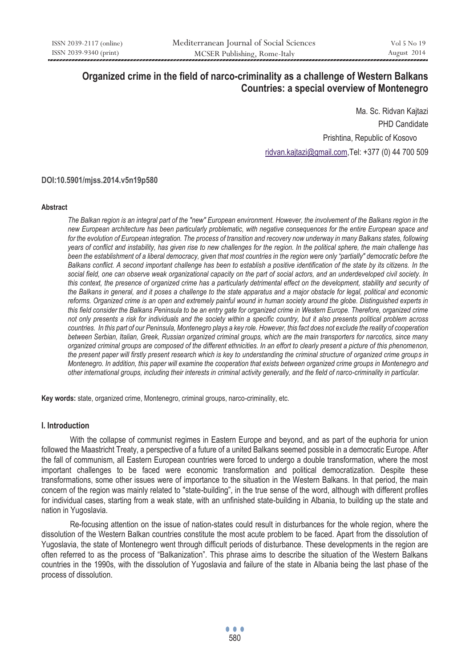# **Organized crime in the field of narco-criminality as a challenge of Western Balkans Countries: a special overview of Montenegro**

Ma. Sc. Ridvan Kajtazi PHD Candidate Prishtina, Republic of Kosovo ridvan.kajtazi@gmail.com,Tel: +377 (0) 44 700 509

**DOI:10.5901/mjss.2014.v5n19p580** 

#### **Abstract**

*The Balkan region is an integral part of the "new" European environment. However, the involvement of the Balkans region in the new European architecture has been particularly problematic, with negative consequences for the entire European space and*  for the evolution of European integration. The process of transition and recovery now underway in many Balkans states, following *years of conflict and instability, has given rise to new challenges for the region. In the political sphere, the main challenge has*  been the establishment of a liberal democracy, given that most countries in the region were only "partially" democratic before the *Balkans conflict. A second important challenge has been to establish a positive identification of the state by its citizens. In the social field, one can observe weak organizational capacity on the part of social actors, and an underdeveloped civil society. In this context, the presence of organized crime has a particularly detrimental effect on the development, stability and security of the Balkans in general, and it poses a challenge to the state apparatus and a major obstacle for legal, political and economic reforms. Organized crime is an open and extremely painful wound in human society around the globe. Distinguished experts in this field consider the Balkans Peninsula to be an entry gate for organized crime in Western Europe. Therefore, organized crime not only presents a risk for individuals and the society within a specific country, but it also presents political problem across countries. In this part of our Peninsula, Montenegro plays a key role. However, this fact does not exclude the reality of cooperation between Serbian, Italian, Greek, Russian organized criminal groups, which are the main transporters for narcotics, since many organized criminal groups are composed of the different ethnicities. In an effort to clearly present a picture of this phenomenon, the present paper will firstly present research which is key to understanding the criminal structure of organized crime groups in Montenegro. In addition, this paper will examine the cooperation that exists between organized crime groups in Montenegro and other international groups, including their interests in criminal activity generally, and the field of narco-criminality in particular.* 

**Key words:** state, organized crime, Montenegro, criminal groups, narco-criminality, etc.

#### **I. Introduction**

With the collapse of communist regimes in Eastern Europe and beyond, and as part of the euphoria for union followed the Maastricht Treaty, a perspective of a future of a united Balkans seemed possible in a democratic Europe. After the fall of communism, all Eastern European countries were forced to undergo a double transformation, where the most important challenges to be faced were economic transformation and political democratization. Despite these transformations, some other issues were of importance to the situation in the Western Balkans. In that period, the main concern of the region was mainly related to "state-building", in the true sense of the word, although with different profiles for individual cases, starting from a weak state, with an unfinished state-building in Albania, to building up the state and nation in Yugoslavia.

Re-focusing attention on the issue of nation-states could result in disturbances for the whole region, where the dissolution of the Western Balkan countries constitute the most acute problem to be faced. Apart from the dissolution of Yugoslavia, the state of Montenegro went through difficult periods of disturbance. These developments in the region are often referred to as the process of "Balkanization". This phrase aims to describe the situation of the Western Balkans countries in the 1990s, with the dissolution of Yugoslavia and failure of the state in Albania being the last phase of the process of dissolution.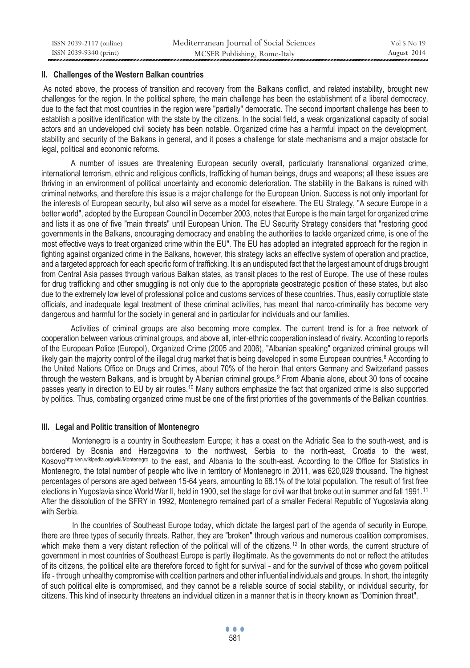## **II. Challenges of the Western Balkan countries**

As noted above, the process of transition and recovery from the Balkans conflict, and related instability, brought new challenges for the region. In the political sphere, the main challenge has been the establishment of a liberal democracy, due to the fact that most countries in the region were "partially" democratic. The second important challenge has been to establish a positive identification with the state by the citizens. In the social field, a weak organizational capacity of social actors and an undeveloped civil society has been notable. Organized crime has a harmful impact on the development, stability and security of the Balkans in general, and it poses a challenge for state mechanisms and a major obstacle for legal, political and economic reforms.

A number of issues are threatening European security overall, particularly transnational organized crime, international terrorism, ethnic and religious conflicts, trafficking of human beings, drugs and weapons; all these issues are thriving in an environment of political uncertainty and economic deterioration. The stability in the Balkans is ruined with criminal networks, and therefore this issue is a major challenge for the European Union. Success is not only important for the interests of European security, but also will serve as a model for elsewhere. The EU Strategy, "A secure Europe in a better world", adopted by the European Council in December 2003, notes that Europe is the main target for organized crime and lists it as one of five "main threats" until European Union. The EU Security Strategy considers that "restoring good governments in the Balkans, encouraging democracy and enabling the authorities to tackle organized crime, is one of the most effective ways to treat organized crime within the EU". The EU has adopted an integrated approach for the region in fighting against organized crime in the Balkans, however, this strategy lacks an effective system of operation and practice, and a targeted approach for each specific form of trafficking. It is an undisputed fact that the largest amount of drugs brought from Central Asia passes through various Balkan states, as transit places to the rest of Europe. The use of these routes for drug trafficking and other smuggling is not only due to the appropriate geostrategic position of these states, but also due to the extremely low level of professional police and customs services of these countries. Thus, easily corruptible state officials, and inadequate legal treatment of these criminal activities, has meant that narco-criminality has become very dangerous and harmful for the society in general and in particular for individuals and our families.

Activities of criminal groups are also becoming more complex. The current trend is for a free network of cooperation between various criminal groups, and above all, inter-ethnic cooperation instead of rivalry. According to reports of the European Police (Europol), Organized Crime (2005 and 2006), "Albanian speaking" organized criminal groups will likely gain the majority control of the illegal drug market that is being developed in some European countries.<sup>8</sup> According to the United Nations Office on Drugs and Crimes, about 70% of the heroin that enters Germany and Switzerland passes through the western Balkans, and is brought by Albanian criminal groups.9 From Albania alone, about 30 tons of cocaine passes yearly in direction to EU by air routes.10 Many authors emphasize the fact that organized crime is also supported by politics. Thus, combating organized crime must be one of the first priorities of the governments of the Balkan countries.

# **III. Legal and Politic transition of Montenegro**

Montenegro is a country in Southeastern Europe; it has a coast on the Adriatic Sea to the south-west, and is bordered by Bosnia and Herzegovina to the northwest, Serbia to the north-east, Croatia to the west, Kosovohttp://en.wikipedia.org/wiki/Montenegro to the east, and Albania to the south-east. According to the Office for Statistics in Montenegro, the total number of people who live in territory of Montenegro in 2011, was 620,029 thousand. The highest percentages of persons are aged between 15-64 years, amounting to 68.1% of the total population. The result of first free elections in Yugoslavia since World War II, held in 1900, set the stage for civil war that broke out in summer and fall 1991.11 After the dissolution of the SFRY in 1992, Montenegro remained part of a smaller Federal Republic of Yugoslavia along with Serbia.

In the countries of Southeast Europe today, which dictate the largest part of the agenda of security in Europe, there are three types of security threats. Rather, they are "broken" through various and numerous coalition compromises, which make them a very distant reflection of the political will of the citizens.<sup>12</sup> In other words, the current structure of government in most countries of Southeast Europe is partly illegitimate. As the governments do not or reflect the attitudes of its citizens, the political elite are therefore forced to fight for survival - and for the survival of those who govern political life - through unhealthy compromise with coalition partners and other influential individuals and groups. In short, the integrity of such political elite is compromised, and they cannot be a reliable source of social stability, or individual security, for citizens. This kind of insecurity threatens an individual citizen in a manner that is in theory known as "Dominion threat".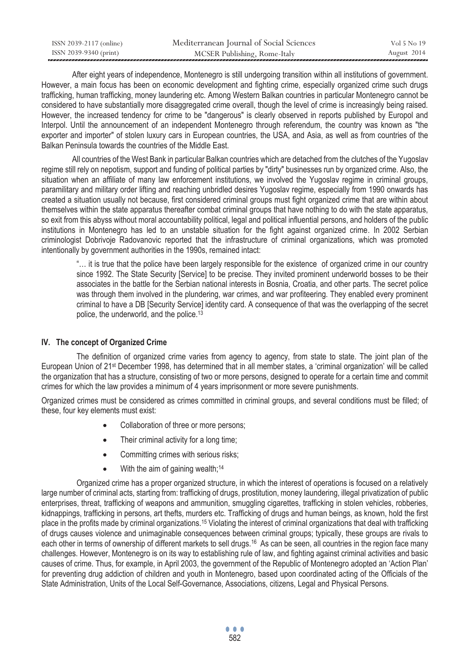| ISSN 2039-2117 (online) | Mediterranean Journal of Social Sciences | Vol 5 No 19 |
|-------------------------|------------------------------------------|-------------|
| ISSN 2039-9340 (print)  | MCSER Publishing, Rome-Italy             | August 2014 |

After eight years of independence, Montenegro is still undergoing transition within all institutions of government. However, a main focus has been on economic development and fighting crime, especially organized crime such drugs trafficking, human trafficking, money laundering etc. Among Western Balkan countries in particular Montenegro cannot be considered to have substantially more disaggregated crime overall, though the level of crime is increasingly being raised. However, the increased tendency for crime to be "dangerous" is clearly observed in reports published by Europol and Interpol. Until the announcement of an independent Montenegro through referendum, the country was known as "the exporter and importer" of stolen luxury cars in European countries, the USA, and Asia, as well as from countries of the Balkan Peninsula towards the countries of the Middle East.

All countries of the West Bank in particular Balkan countries which are detached from the clutches of the Yugoslav regime still rely on nepotism, support and funding of political parties by "dirty" businesses run by organized crime. Also, the situation when an affiliate of many law enforcement institutions, we involved the Yugoslav regime in criminal groups, paramilitary and military order lifting and reaching unbridled desires Yugoslav regime, especially from 1990 onwards has created a situation usually not because, first considered criminal groups must fight organized crime that are within about themselves within the state apparatus thereafter combat criminal groups that have nothing to do with the state apparatus, so exit from this abyss without moral accountability political, legal and political influential persons, and holders of the public institutions in Montenegro has led to an unstable situation for the fight against organized crime. In 2002 Serbian criminologist Dobrivoje Radovanovic reported that the infrastructure of criminal organizations, which was promoted intentionally by government authorities in the 1990s, remained intact:

"… it is true that the police have been largely responsible for the existence of organized crime in our country since 1992. The State Security [Service] to be precise. They invited prominent underworld bosses to be their associates in the battle for the Serbian national interests in Bosnia, Croatia, and other parts. The secret police was through them involved in the plundering, war crimes, and war profiteering. They enabled every prominent criminal to have a DB [Security Service] identity card. A consequence of that was the overlapping of the secret police, the underworld, and the police.13

## **IV. The concept of Organized Crime**

The definition of organized crime varies from agency to agency, from state to state. The joint plan of the European Union of 21st December 1998, has determined that in all member states, a 'criminal organization' will be called the organization that has a structure, consisting of two or more persons, designed to operate for a certain time and commit crimes for which the law provides a minimum of 4 years imprisonment or more severe punishments.

Organized crimes must be considered as crimes committed in criminal groups, and several conditions must be filled; of these, four key elements must exist:

- Collaboration of three or more persons;
- $\bullet$  Their criminal activity for a long time;
- Committing crimes with serious risks;
- $\bullet$  With the aim of gaining wealth;<sup>14</sup>

Organized crime has a proper organized structure, in which the interest of operations is focused on a relatively large number of criminal acts, starting from: trafficking of drugs, prostitution, money laundering, illegal privatization of public enterprises, threat, trafficking of weapons and ammunition, smuggling cigarettes, trafficking in stolen vehicles, robberies, kidnappings, trafficking in persons, art thefts, murders etc. Trafficking of drugs and human beings, as known, hold the first place in the profits made by criminal organizations.15 Violating the interest of criminal organizations that deal with trafficking of drugs causes violence and unimaginable consequences between criminal groups; typically, these groups are rivals to each other in terms of ownership of different markets to sell drugs.16 As can be seen, all countries in the region face many challenges. However, Montenegro is on its way to establishing rule of law, and fighting against criminal activities and basic causes of crime. Thus, for example, in April 2003, the government of the Republic of Montenegro adopted an 'Action Plan' for preventing drug addiction of children and youth in Montenegro, based upon coordinated acting of the Officials of the State Administration, Units of the Local Self-Governance, Associations, citizens, Legal and Physical Persons.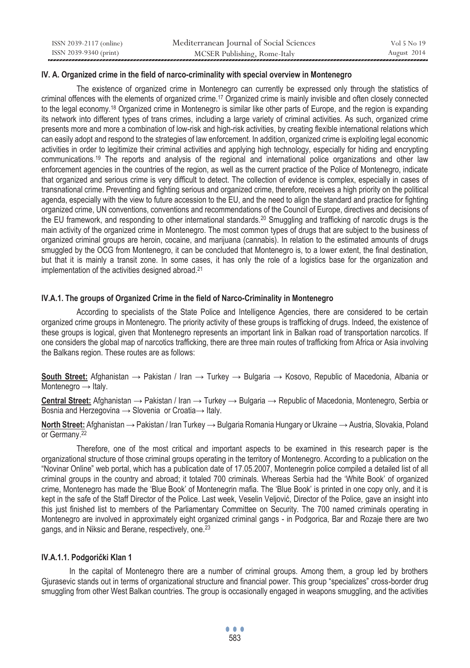| ISSN 2039-2117 (online) | Mediterranean Journal of Social Sciences | Vol 5 No 19 |
|-------------------------|------------------------------------------|-------------|
| ISSN 2039-9340 (print)  | MCSER Publishing, Rome-Italy             | August 2014 |

## **IV. A. Organized crime in the field of narco-criminality with special overview in Montenegro**

The existence of organized crime in Montenegro can currently be expressed only through the statistics of criminal offences with the elements of organized crime.<sup>17</sup> Organized crime is mainly invisible and often closely connected to the legal economy.18 Organized crime in Montenegro is similar like other parts of Europe, and the region is expanding its network into different types of trans crimes, including a large variety of criminal activities. As such, organized crime presents more and more a combination of low-risk and high-risk activities, by creating flexible international relations which can easily adopt and respond to the strategies of law enforcement. In addition, organized crime is exploiting legal economic activities in order to legitimize their criminal activities and applying high technology, especially for hiding and encrypting communications.19 The reports and analysis of the regional and international police organizations and other law enforcement agencies in the countries of the region, as well as the current practice of the Police of Montenegro, indicate that organized and serious crime is very difficult to detect. The collection of evidence is complex, especially in cases of transnational crime. Preventing and fighting serious and organized crime, therefore, receives a high priority on the political agenda, especially with the view to future accession to the EU, and the need to align the standard and practice for fighting organized crime, UN conventions, conventions and recommendations of the Council of Europe, directives and decisions of the EU framework, and responding to other international standards.<sup>20</sup> Smuggling and trafficking of narcotic drugs is the main activity of the organized crime in Montenegro. The most common types of drugs that are subject to the business of organized criminal groups are heroin, cocaine, and marijuana (cannabis). In relation to the estimated amounts of drugs smuggled by the OCG from Montenegro, it can be concluded that Montenegro is, to a lower extent, the final destination, but that it is mainly a transit zone. In some cases, it has only the role of a logistics base for the organization and implementation of the activities designed abroad.<sup>21</sup>

## **IV.A.1. The groups of Organized Crime in the field of Narco-Criminality in Montenegro**

According to specialists of the State Police and Intelligence Agencies, there are considered to be certain organized crime groups in Montenegro. The priority activity of these groups is trafficking of drugs. Indeed, the existence of these groups is logical, given that Montenegro represents an important link in Balkan road of transportation narcotics. If one considers the global map of narcotics trafficking, there are three main routes of trafficking from Africa or Asia involving the Balkans region. These routes are as follows:

**South Street:** Afghanistan → Pakistan / Iran → Turkey → Bulgaria → Kosovo, Republic of Macedonia, Albania or Montenegro  $\rightarrow$  Italy.

**Central Street:** Afghanistan → Pakistan / Iran → Turkey → Bulgaria → Republic of Macedonia, Montenegro, Serbia or Bosnia and Herzegovina → Slovenia or Croatia → Italy.

**North Street:** Afghanistan → Pakistan / Iran Turkey → Bulgaria Romania Hungary or Ukraine → Austria, Slovakia, Poland or Germany.22

Therefore, one of the most critical and important aspects to be examined in this research paper is the organizational structure of those criminal groups operating in the territory of Montenegro. According to a publication on the "Novinar Online" web portal, which has a publication date of 17.05.2007, Montenegrin police compiled a detailed list of all criminal groups in the country and abroad; it totaled 700 criminals. Whereas Serbia had the 'White Book' of organized crime, Montenegro has made the 'Blue Book' of Montenegrin mafia. The 'Blue Book' is printed in one copy only, and it is kept in the safe of the Staff Director of the Police. Last week, Veselin Veljović, Director of the Police, gave an insight into this just finished list to members of the Parliamentary Committee on Security. The 700 named criminals operating in Montenegro are involved in approximately eight organized criminal gangs - in Podgorica, Bar and Rozaje there are two gangs, and in Niksic and Berane, respectively, one.23

## **IV.A.1.1. Podgorički Klan 1**

In the capital of Montenegro there are a number of criminal groups. Among them, a group led by brothers Gjurasevic stands out in terms of organizational structure and financial power. This group "specializes" cross-border drug smuggling from other West Balkan countries. The group is occasionally engaged in weapons smuggling, and the activities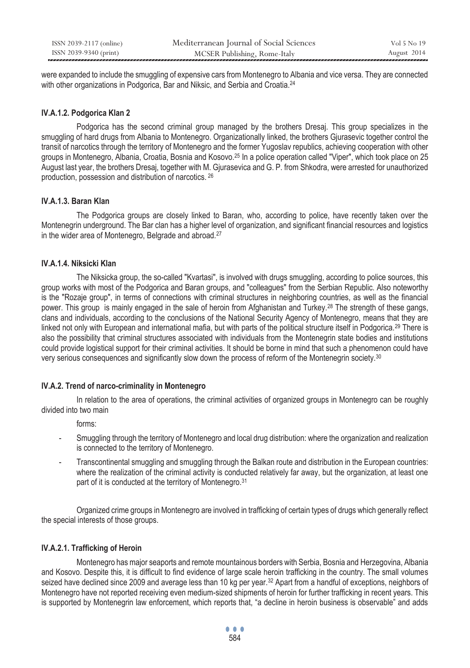| ISSN 2039-2117 (online) | Mediterranean Journal of Social Sciences | Vol 5 No 19 |
|-------------------------|------------------------------------------|-------------|
| ISSN 2039-9340 (print)  | MCSER Publishing, Rome-Italy             | August 2014 |

were expanded to include the smuggling of expensive cars from Montenegro to Albania and vice versa. They are connected with other organizations in Podgorica. Bar and Niksic, and Serbia and Croatia.<sup>24</sup>

## **IV.A.1.2. Podgorica Klan 2**

 Podgorica has the second criminal group managed by the brothers Dresaj. This group specializes in the smuggling of hard drugs from Albania to Montenegro. Organizationally linked, the brothers Gjurasevic together control the transit of narcotics through the territory of Montenegro and the former Yugoslav republics, achieving cooperation with other groups in Montenegro, Albania, Croatia, Bosnia and Kosovo.25 In a police operation called "Viper", which took place on 25 August last year, the brothers Dresaj, together with M. Gjurasevica and G. P. from Shkodra, were arrested for unauthorized production, possession and distribution of narcotics. 26

# **IV.A.1.3. Baran Klan**

 The Podgorica groups are closely linked to Baran, who, according to police, have recently taken over the Montenegrin underground. The Bar clan has a higher level of organization, and significant financial resources and logistics in the wider area of Montenegro, Belgrade and abroad.27

# **IV.A.1.4. Niksicki Klan**

 The Niksicka group, the so-called "Kvartasi", is involved with drugs smuggling, according to police sources, this group works with most of the Podgorica and Baran groups, and "colleagues" from the Serbian Republic. Also noteworthy is the "Rozaje group", in terms of connections with criminal structures in neighboring countries, as well as the financial power. This group is mainly engaged in the sale of heroin from Afghanistan and Turkey.28 The strength of these gangs, clans and individuals, according to the conclusions of the National Security Agency of Montenegro, means that they are linked not only with European and international mafia, but with parts of the political structure itself in Podgorica.<sup>29</sup> There is also the possibility that criminal structures associated with individuals from the Montenegrin state bodies and institutions could provide logistical support for their criminal activities. It should be borne in mind that such a phenomenon could have very serious consequences and significantly slow down the process of reform of the Montenegrin society.30

## **IV.A.2. Trend of narco-criminality in Montenegro**

In relation to the area of operations, the criminal activities of organized groups in Montenegro can be roughly divided into two main

forms:

- Smuggling through the territory of Montenegro and local drug distribution: where the organization and realization is connected to the territory of Montenegro.
- Transcontinental smuggling and smuggling through the Balkan route and distribution in the European countries: where the realization of the criminal activity is conducted relatively far away, but the organization, at least one part of it is conducted at the territory of Montenegro.<sup>31</sup>

Organized crime groups in Montenegro are involved in trafficking of certain types of drugs which generally reflect the special interests of those groups.

## **IV.A.2.1. Trafficking of Heroin**

Montenegro has major seaports and remote mountainous borders with Serbia, Bosnia and Herzegovina, Albania and Kosovo. Despite this, it is difficult to find evidence of large scale heroin trafficking in the country. The small volumes seized have declined since 2009 and average less than 10 kg per year.<sup>32</sup> Apart from a handful of exceptions, neighbors of Montenegro have not reported receiving even medium-sized shipments of heroin for further trafficking in recent years. This is supported by Montenegrin law enforcement, which reports that, "a decline in heroin business is observable" and adds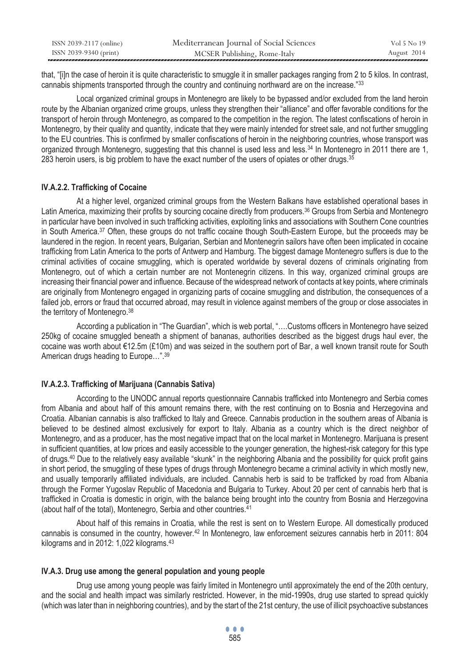| ISSN 2039-2117 (online) | Mediterranean Journal of Social Sciences | Vol 5 No 19 |
|-------------------------|------------------------------------------|-------------|
| ISSN 2039-9340 (print)  | MCSER Publishing, Rome-Italy             | August 2014 |

that, "[i]n the case of heroin it is quite characteristic to smuggle it in smaller packages ranging from 2 to 5 kilos. In contrast, cannabis shipments transported through the country and continuing northward are on the increase."<sup>33</sup>

Local organized criminal groups in Montenegro are likely to be bypassed and/or excluded from the land heroin route by the Albanian organized crime groups, unless they strengthen their "alliance" and offer favorable conditions for the transport of heroin through Montenegro, as compared to the competition in the region. The latest confiscations of heroin in Montenegro, by their quality and quantity, indicate that they were mainly intended for street sale, and not further smuggling to the EU countries. This is confirmed by smaller confiscations of heroin in the neighboring countries, whose transport was organized through Montenegro, suggesting that this channel is used less and less.<sup>34</sup> In Montenegro in 2011 there are 1, 283 heroin users, is big problem to have the exact number of the users of opiates or other drugs.  $35$ 

## **IV.A.2.2. Trafficking of Cocaine**

At a higher level, organized criminal groups from the Western Balkans have established operational bases in Latin America, maximizing their profits by sourcing cocaine directly from producers.<sup>36</sup> Groups from Serbia and Montenegro in particular have been involved in such trafficking activities, exploiting links and associations with Southern Cone countries in South America.37 Often, these groups do not traffic cocaine though South-Eastern Europe, but the proceeds may be laundered in the region. In recent years, Bulgarian, Serbian and Montenegrin sailors have often been implicated in cocaine trafficking from Latin America to the ports of Antwerp and Hamburg. The biggest damage Montenegro suffers is due to the criminal activities of cocaine smuggling, which is operated worldwide by several dozens of criminals originating from Montenegro, out of which a certain number are not Montenegrin citizens. In this way, organized criminal groups are increasing their financial power and influence. Because of the widespread network of contacts at key points, where criminals are originally from Montenegro engaged in organizing parts of cocaine smuggling and distribution, the consequences of a failed job, errors or fraud that occurred abroad, may result in violence against members of the group or close associates in the territory of Montenegro.38

According a publication in "The Guardian", which is web portal, "….Customs officers in Montenegro have seized 250kg of cocaine smuggled beneath a shipment of bananas, authorities described as the biggest drugs haul ever, the cocaine was worth about €12.5m (£10m) and was seized in the southern port of Bar, a well known transit route for South American drugs heading to Europe…".39

## **IV.A.2.3. Trafficking of Marijuana (Cannabis Sativa)**

According to the UNODC annual reports questionnaire Cannabis trafficked into Montenegro and Serbia comes from Albania and about half of this amount remains there, with the rest continuing on to Bosnia and Herzegovina and Croatia. Albanian cannabis is also trafficked to Italy and Greece. Cannabis production in the southern areas of Albania is believed to be destined almost exclusively for export to Italy. Albania as a country which is the direct neighbor of Montenegro, and as a producer, has the most negative impact that on the local market in Montenegro. Marijuana is present in sufficient quantities, at low prices and easily accessible to the younger generation, the highest-risk category for this type of drugs.40 Due to the relatively easy available "skunk" in the neighboring Albania and the possibility for quick profit gains in short period, the smuggling of these types of drugs through Montenegro became a criminal activity in which mostly new, and usually temporarily affiliated individuals, are included. Cannabis herb is said to be trafficked by road from Albania through the Former Yugoslav Republic of Macedonia and Bulgaria to Turkey. About 20 per cent of cannabis herb that is trafficked in Croatia is domestic in origin, with the balance being brought into the country from Bosnia and Herzegovina (about half of the total), Montenegro, Serbia and other countries.<sup>41</sup>

About half of this remains in Croatia, while the rest is sent on to Western Europe. All domestically produced cannabis is consumed in the country, however.42 In Montenegro, law enforcement seizures cannabis herb in 2011: 804 kilograms and in 2012: 1,022 kilograms.43

#### **IV.A.3. Drug use among the general population and young people**

Drug use among young people was fairly limited in Montenegro until approximately the end of the 20th century, and the social and health impact was similarly restricted. However, in the mid-1990s, drug use started to spread quickly (which was later than in neighboring countries), and by the start of the 21st century, the use of illicit psychoactive substances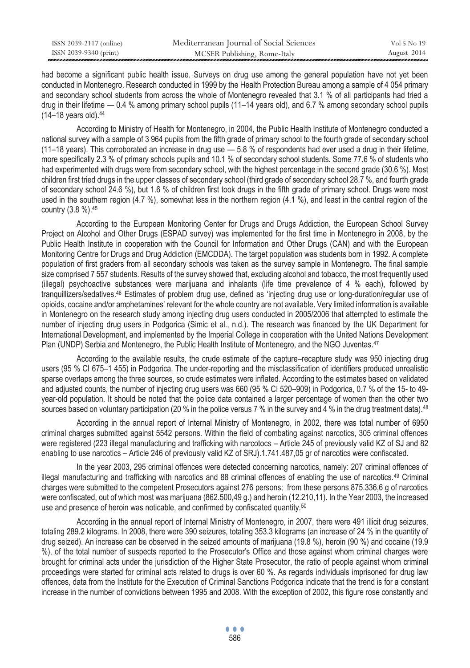| ISSN 2039-2117 (online) | Mediterranean Journal of Social Sciences | Vol 5 No 19 |
|-------------------------|------------------------------------------|-------------|
| ISSN 2039-9340 (print)  | MCSER Publishing, Rome-Italy             | August 2014 |

had become a significant public health issue. Surveys on drug use among the general population have not yet been conducted in Montenegro. Research conducted in 1999 by the Health Protection Bureau among a sample of 4 054 primary and secondary school students from across the whole of Montenegro revealed that 3.1 % of all participants had tried a drug in their lifetime — 0.4 % among primary school pupils (11–14 years old), and 6.7 % among secondary school pupils (14–18 years old).44

According to Ministry of Health for Montenegro, in 2004, the Public Health Institute of Montenegro conducted a national survey with a sample of 3 964 pupils from the fifth grade of primary school to the fourth grade of secondary school  $(11-18 \text{ years})$ . This corroborated an increase in drug use  $-5.8 \%$  of respondents had ever used a drug in their lifetime. more specifically 2.3 % of primary schools pupils and 10.1 % of secondary school students. Some 77.6 % of students who had experimented with drugs were from secondary school, with the highest percentage in the second grade (30.6 %). Most children first tried drugs in the upper classes of secondary school (third grade of secondary school 28.7 %, and fourth grade of secondary school 24.6 %), but 1.6 % of children first took drugs in the fifth grade of primary school. Drugs were most used in the southern region (4.7 %), somewhat less in the northern region (4.1 %), and least in the central region of the country (3.8 %).45

According to the European Monitoring Center for Drugs and Drugs Addiction, the European School Survey Project on Alcohol and Other Drugs (ESPAD survey) was implemented for the first time in Montenegro in 2008, by the Public Health Institute in cooperation with the Council for Information and Other Drugs (CAN) and with the European Monitoring Centre for Drugs and Drug Addiction (EMCDDA). The target population was students born in 1992. A complete population of first graders from all secondary schools was taken as the survey sample in Montenegro. The final sample size comprised 7 557 students. Results of the survey showed that, excluding alcohol and tobacco, the most frequently used (illegal) psychoactive substances were marijuana and inhalants (life time prevalence of 4 % each), followed by tranquillizers/sedatives.46 Estimates of problem drug use, defined as 'injecting drug use or long-duration/regular use of opioids, cocaine and/or amphetamines' relevant for the whole country are not available. Very limited information is available in Montenegro on the research study among injecting drug users conducted in 2005/2006 that attempted to estimate the number of injecting drug users in Podgorica (Simic et al., n.d.). The research was financed by the UK Department for International Development, and implemented by the Imperial College in cooperation with the United Nations Development Plan (UNDP) Serbia and Montenegro, the Public Health Institute of Montenegro, and the NGO Juventas.47

According to the available results, the crude estimate of the capture–recapture study was 950 injecting drug users (95 % CI 675–1 455) in Podgorica. The under-reporting and the misclassification of identifiers produced unrealistic sparse overlaps among the three sources, so crude estimates were inflated. According to the estimates based on validated and adjusted counts, the number of injecting drug users was 660 (95 % CI 520–909) in Podgorica, 0.7 % of the 15- to 49 year-old population. It should be noted that the police data contained a larger percentage of women than the other two sources based on voluntary participation (20 % in the police versus 7 % in the survey and 4 % in the drug treatment data).<sup>48</sup>

According in the annual report of Internal Ministry of Montenegro, in 2002, there was total number of 6950 criminal charges submitted against 5542 persons. Within the field of combating against narcotics, 305 criminal offences were registered (223 illegal manufacturing and trafficking with narcotocs – Article 245 of previously valid KZ of SJ and 82 enabling to use narcotics – Article 246 of previously valid KZ of SRJ).1.741.487,05 gr of narcotics were confiscated.

In the year 2003, 295 criminal offences were detected concerning narcotics, namely: 207 criminal offences of illegal manufacturing and trafficking with narcotics and 88 criminal offences of enabling the use of narcotics.<sup>49</sup> Criminal charges were submitted to the competent Prosecutors against 276 persons; from these persons 875.336,6 g of narcotics were confiscated, out of which most was marijuana (862.500,49 g.) and heroin (12.210,11). In the Year 2003, the increased use and presence of heroin was noticable, and confirmed by confiscated quantity.<sup>50</sup>

According in the annual report of Internal Ministry of Montenegro, in 2007, there were 491 illicit drug seizures, totaling 289.2 kilograms. In 2008, there were 390 seizures, totaling 353.3 kilograms (an increase of 24 % in the quantity of drug seized). An increase can be observed in the seized amounts of marijuana (19.8 %), heroin (90 %) and cocaine (19.9 %), of the total number of suspects reported to the Prosecutor's Office and those against whom criminal charges were brought for criminal acts under the jurisdiction of the Higher State Prosecutor, the ratio of people against whom criminal proceedings were started for criminal acts related to drugs is over 60 %. As regards individuals imprisoned for drug law offences, data from the Institute for the Execution of Criminal Sanctions Podgorica indicate that the trend is for a constant increase in the number of convictions between 1995 and 2008. With the exception of 2002, this figure rose constantly and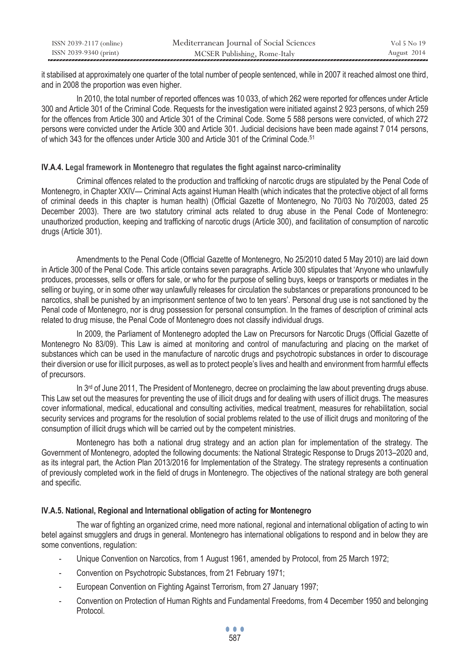| ISSN 2039-2117 (online) | Mediterranean Journal of Social Sciences | Vol 5 No 19 |
|-------------------------|------------------------------------------|-------------|
| ISSN 2039-9340 (print)  | MCSER Publishing, Rome-Italy             | August 2014 |

it stabilised at approximately one quarter of the total number of people sentenced, while in 2007 it reached almost one third, and in 2008 the proportion was even higher.

In 2010, the total number of reported offences was 10 033, of which 262 were reported for offences under Article 300 and Article 301 of the Criminal Code. Requests for the investigation were initiated against 2 923 persons, of which 259 for the offences from Article 300 and Article 301 of the Criminal Code. Some 5 588 persons were convicted, of which 272 persons were convicted under the Article 300 and Article 301. Judicial decisions have been made against 7 014 persons, of which 343 for the offences under Article 300 and Article 301 of the Criminal Code.51

#### **IV.A.4. Legal framework in Montenegro that regulates the fight against narco-criminality**

Criminal offences related to the production and trafficking of narcotic drugs are stipulated by the Penal Code of Montenegro, in Chapter XXIV— Criminal Acts against Human Health (which indicates that the protective object of all forms of criminal deeds in this chapter is human health) (Official Gazette of Montenegro, No 70/03 No 70/2003, dated 25 December 2003). There are two statutory criminal acts related to drug abuse in the Penal Code of Montenegro: unauthorized production, keeping and trafficking of narcotic drugs (Article 300), and facilitation of consumption of narcotic drugs (Article 301).

Amendments to the Penal Code (Official Gazette of Montenegro, No 25/2010 dated 5 May 2010) are laid down in Article 300 of the Penal Code. This article contains seven paragraphs. Article 300 stipulates that 'Anyone who unlawfully produces, processes, sells or offers for sale, or who for the purpose of selling buys, keeps or transports or mediates in the selling or buying, or in some other way unlawfully releases for circulation the substances or preparations pronounced to be narcotics, shall be punished by an imprisonment sentence of two to ten years'. Personal drug use is not sanctioned by the Penal code of Montenegro, nor is drug possession for personal consumption. In the frames of description of criminal acts related to drug misuse, the Penal Code of Montenegro does not classify individual drugs.

In 2009, the Parliament of Montenegro adopted the Law on Precursors for Narcotic Drugs (Official Gazette of Montenegro No 83/09). This Law is aimed at monitoring and control of manufacturing and placing on the market of substances which can be used in the manufacture of narcotic drugs and psychotropic substances in order to discourage their diversion or use for illicit purposes, as well as to protect people's lives and health and environment from harmful effects of precursors.

In  $3<sup>rd</sup>$  of June 2011, The President of Montenegro, decree on proclaiming the law about preventing drugs abuse. This Law set out the measures for preventing the use of illicit drugs and for dealing with users of illicit drugs. The measures cover informational, medical, educational and consulting activities, medical treatment, measures for rehabilitation, social security services and programs for the resolution of social problems related to the use of illicit drugs and monitoring of the consumption of illicit drugs which will be carried out by the competent ministries.

Montenegro has both a national drug strategy and an action plan for implementation of the strategy. The Government of Montenegro, adopted the following documents: the National Strategic Response to Drugs 2013–2020 and, as its integral part, the Action Plan 2013/2016 for Implementation of the Strategy. The strategy represents a continuation of previously completed work in the field of drugs in Montenegro. The objectives of the national strategy are both general and specific.

## **IV.A.5. National, Regional and International obligation of acting for Montenegro**

The war of fighting an organized crime, need more national, regional and international obligation of acting to win betel against smugglers and drugs in general. Montenegro has international obligations to respond and in below they are some conventions, regulation:

- Unique Convention on Narcotics, from 1 August 1961, amended by Protocol, from 25 March 1972;
- Convention on Psychotropic Substances, from 21 February 1971;
- European Convention on Fighting Against Terrorism, from 27 January 1997;
- Convention on Protection of Human Rights and Fundamental Freedoms, from 4 December 1950 and belonging Protocol.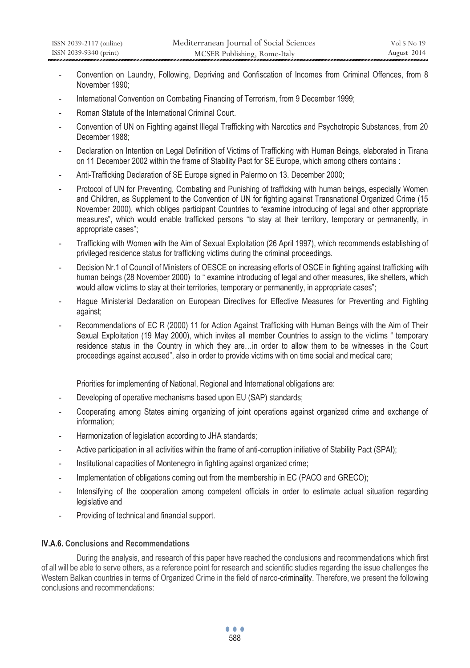- Convention on Laundry, Following, Depriving and Confiscation of Incomes from Criminal Offences, from 8 November 1990;
- International Convention on Combating Financing of Terrorism, from 9 December 1999;
- Roman Statute of the International Criminal Court.
- Convention of UN on Fighting against Illegal Trafficking with Narcotics and Psychotropic Substances, from 20 December 1988;
- Declaration on Intention on Legal Definition of Victims of Trafficking with Human Beings, elaborated in Tirana on 11 December 2002 within the frame of Stability Pact for SE Europe, which among others contains :
- Anti-Trafficking Declaration of SE Europe signed in Palermo on 13. December 2000;
- Protocol of UN for Preventing, Combating and Punishing of trafficking with human beings, especially Women and Children, as Supplement to the Convention of UN for fighting against Transnational Organized Crime (15 November 2000), which obliges participant Countries to "examine introducing of legal and other appropriate measures", which would enable trafficked persons "to stay at their territory, temporary or permanently, in appropriate cases";
- Trafficking with Women with the Aim of Sexual Exploitation (26 April 1997), which recommends establishing of privileged residence status for trafficking victims during the criminal proceedings.
- Decision Nr.1 of Council of Ministers of OESCE on increasing efforts of OSCE in fighting against trafficking with human beings (28 November 2000) to " examine introducing of legal and other measures, like shelters, which would allow victims to stay at their territories, temporary or permanently, in appropriate cases";
- Hague Ministerial Declaration on European Directives for Effective Measures for Preventing and Fighting against;
- Recommendations of EC R (2000) 11 for Action Against Trafficking with Human Beings with the Aim of Their Sexual Exploitation (19 May 2000), which invites all member Countries to assign to the victims " temporary residence status in the Country in which they are…in order to allow them to be witnesses in the Court proceedings against accused", also in order to provide victims with on time social and medical care;

Priorities for implementing of National, Regional and International obligations are:

- Developing of operative mechanisms based upon EU (SAP) standards;
- Cooperating among States aiming organizing of joint operations against organized crime and exchange of information;
- Harmonization of legislation according to JHA standards;
- Active participation in all activities within the frame of anti-corruption initiative of Stability Pact (SPAI);
- Institutional capacities of Montenegro in fighting against organized crime;
- Implementation of obligations coming out from the membership in EC (PACO and GRECO);
- Intensifying of the cooperation among competent officials in order to estimate actual situation regarding legislative and
- Providing of technical and financial support.

## **IV.A.6. Conclusions and Recommendations**

 During the analysis, and research of this paper have reached the conclusions and recommendations which first of all will be able to serve others, as a reference point for research and scientific studies regarding the issue challenges the Western Balkan countries in terms of Organized Crime in the field of narco-criminality. Therefore, we present the following conclusions and recommendations: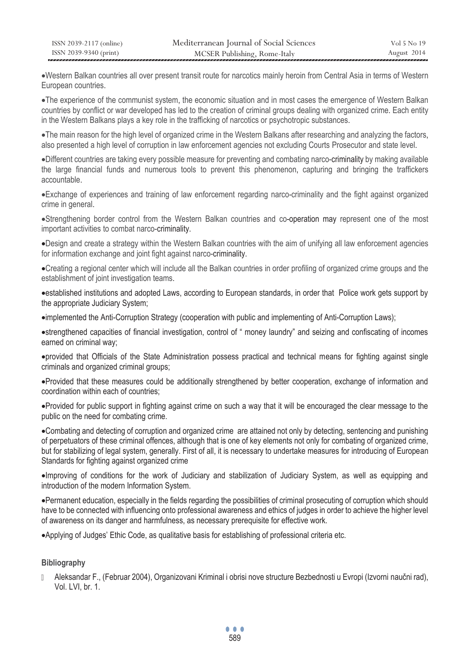xWestern Balkan countries all over present transit route for narcotics mainly heroin from Central Asia in terms of Western European countries.

xThe experience of the communist system, the economic situation and in most cases the emergence of Western Balkan countries by conflict or war developed has led to the creation of criminal groups dealing with organized crime. Each entity in the Western Balkans plays a key role in the trafficking of narcotics or psychotropic substances.

• The main reason for the high level of organized crime in the Western Balkans after researching and analyzing the factors, also presented a high level of corruption in law enforcement agencies not excluding Courts Prosecutor and state level.

•Different countries are taking every possible measure for preventing and combating narco-criminality by making available the large financial funds and numerous tools to prevent this phenomenon, capturing and bringing the traffickers accountable.

xExchange of experiences and training of law enforcement regarding narco-criminality and the fight against organized crime in general.

xStrengthening border control from the Western Balkan countries and co-operation may represent one of the most important activities to combat narco-criminality.

xDesign and create a strategy within the Western Balkan countries with the aim of unifying all law enforcement agencies for information exchange and joint fight against narco-criminality.

xCreating a regional center which will include all the Balkan countries in order profiling of organized crime groups and the establishment of joint investigation teams.

xestablished institutions and adopted Laws, according to European standards, in order that Police work gets support by the appropriate Judiciary System;

• implemented the Anti-Corruption Strategy (cooperation with public and implementing of Anti-Corruption Laws);

xstrengthened capacities of financial investigation, control of " money laundry" and seizing and confiscating of incomes earned on criminal way;

xprovided that Officials of the State Administration possess practical and technical means for fighting against single criminals and organized criminal groups;

xProvided that these measures could be additionally strengthened by better cooperation, exchange of information and coordination within each of countries;

xProvided for public support in fighting against crime on such a way that it will be encouraged the clear message to the public on the need for combating crime.

xCombating and detecting of corruption and organized crime are attained not only by detecting, sentencing and punishing of perpetuators of these criminal offences, although that is one of key elements not only for combating of organized crime, but for stabilizing of legal system, generally. First of all, it is necessary to undertake measures for introducing of European Standards for fighting against organized crime

xImproving of conditions for the work of Judiciary and stabilization of Judiciary System, as well as equipping and introduction of the modern Information System.

xPermanent education, especially in the fields regarding the possibilities of criminal prosecuting of corruption which should have to be connected with influencing onto professional awareness and ethics of judges in order to achieve the higher level of awareness on its danger and harmfulness, as necessary prerequisite for effective work.

xApplying of Judges' Ethic Code, as qualitative basis for establishing of professional criteria etc.

## **Bibliography**

 Aleksandar F., (Februar 2004), Organizovani Kriminal i obrisi nove structure Bezbednosti u Evropi (Izvorni naučni rad), Vol. LVI, br. 1.

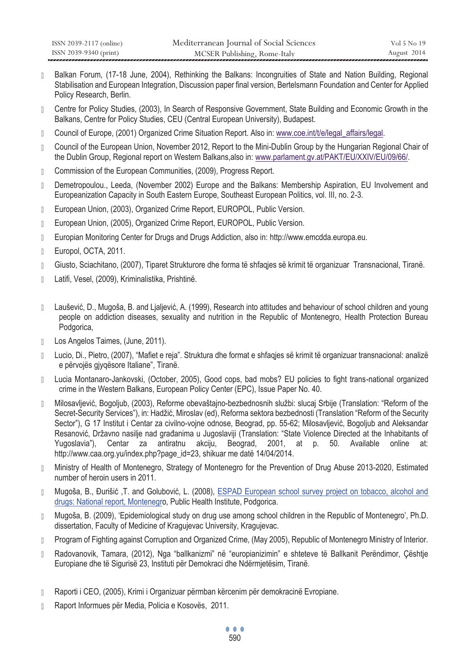- Balkan Forum, (17-18 June, 2004), Rethinking the Balkans: Incongruities of State and Nation Building, Regional Stabilisation and European Integration, Discussion paper final version, Bertelsmann Foundation and Center for Applied Policy Research, Berlin.
- Centre for Policy Studies, (2003), In Search of Responsive Government, State Building and Economic Growth in the Balkans, Centre for Policy Studies, CEU (Central European University), Budapest.
- D Council of Europe, (2001) Organized Crime Situation Report. Also in: www.coe.int/t/e/legal\_affairs/legal.
- Council of the European Union, November 2012, Report to the Mini-Dublin Group by the Hungarian Regional Chair of the Dublin Group, Regional report on Western Balkans,also in: www.parlament.gv.at/PAKT/EU/XXIV/EU/09/66/.
- **Commission of the European Communities, (2009), Progress Report.**
- Demetropoulou., Leeda, (November 2002) Europe and the Balkans: Membership Aspiration, EU Involvement and Europeanization Capacity in South Eastern Europe, Southeast European Politics, vol. III, no. 2-3.
- D European Union, (2003), Organized Crime Report, EUROPOL, Public Version.
- D European Union, (2005), Organized Crime Report, EUROPOL, Public Version.
- Europian Monitoring Center for Drugs and Drugs Addiction, also in: http://www.emcdda.europa.eu.
- D Europol, OCTA, 2011.
- Giusto, Sciachitano, (2007), Tiparet Strukturore dhe forma të shfaqjes së krimit të organizuar Transnacional, Tiranë.
- Latifi, Vesel, (2009), Kriminalistika, Prishtinë.
- $\parallel$  Laušević, D., Mugoša, B. and Lialjević, A. (1999), Research into attitudes and behaviour of school children and young people on addiction diseases, sexuality and nutrition in the Republic of Montenegro, Health Protection Bureau Podgorica,
- Los Angelos Taimes, (June, 2011).
- Lucio, Di., Pietro, (2007), "Mafiet e reja". Struktura dhe format e shfaqjes së krimit të organizuar transnacional: analizë e përvojës gjyqësore Italiane", Tiranë.
- Lucia Montanaro-Jankovski, (October, 2005), Good cops, bad mobs? EU policies to fight trans-national organized crime in the Western Balkans, European Policy Center (EPC), Issue Paper No. 40.
- Milosavljević, Bogoljub, (2003), Reforme obevaštajno-bezbednosnih službi: slucaj Srbije (Translation: "Reform of the Secret-Security Services"), in: Hadžić, Miroslav (ed), Reforma sektora bezbednosti (Translation "Reform of the Security Sector"), G 17 Institut i Centar za civilno-vojne odnose, Beograd, pp. 55-62; Milosavljević, Bogoljub and Aleksandar Resanović, Državno nasilje nad građanima u Jugoslaviji (Translation: "State Violence Directed at the Inhabitants of Yugoslavia"), Centar za antiratnu akciju, Beograd, 2001, at p. 50. Available online at: http://www.caa.org.yu/index.php?page\_id=23, shikuar me datë 14/04/2014.
- Ministry of Health of Montenegro, Strategy of Montenegro for the Prevention of Drug Abuse 2013-2020, Estimated number of heroin users in 2011.
- Mugoša, B., Đurišić ,T. and Golubović, L. (2008), ESPAD European school survey project on tobacco, alcohol and drugs: National report, Montenegro, Public Health Institute, Podgorica.
- Mugoša, B. (2009), 'Epidemiological study on drug use among school children in the Republic of Montenegro', Ph.D. dissertation, Faculty of Medicine of Kragujevac University, Kragujevac.
- Program of Fighting against Corruption and Organized Crime, (May 2005), Republic of Montenegro Ministry of Interior.
- Radovanovik, Tamara, (2012), Nga "ballkanizmi" në "europianizimin" e shteteve të Ballkanit Perëndimor, Çështje Europiane dhe të Sigurisë 23, Instituti për Demokraci dhe Ndërmjetësim, Tiranë.
- Raporti i CEO, (2005), Krimi i Organizuar përmban kërcenim për demokracinë Evropiane.
- **B** Raport Informues për Media, Policia e Kosovës, 2011.